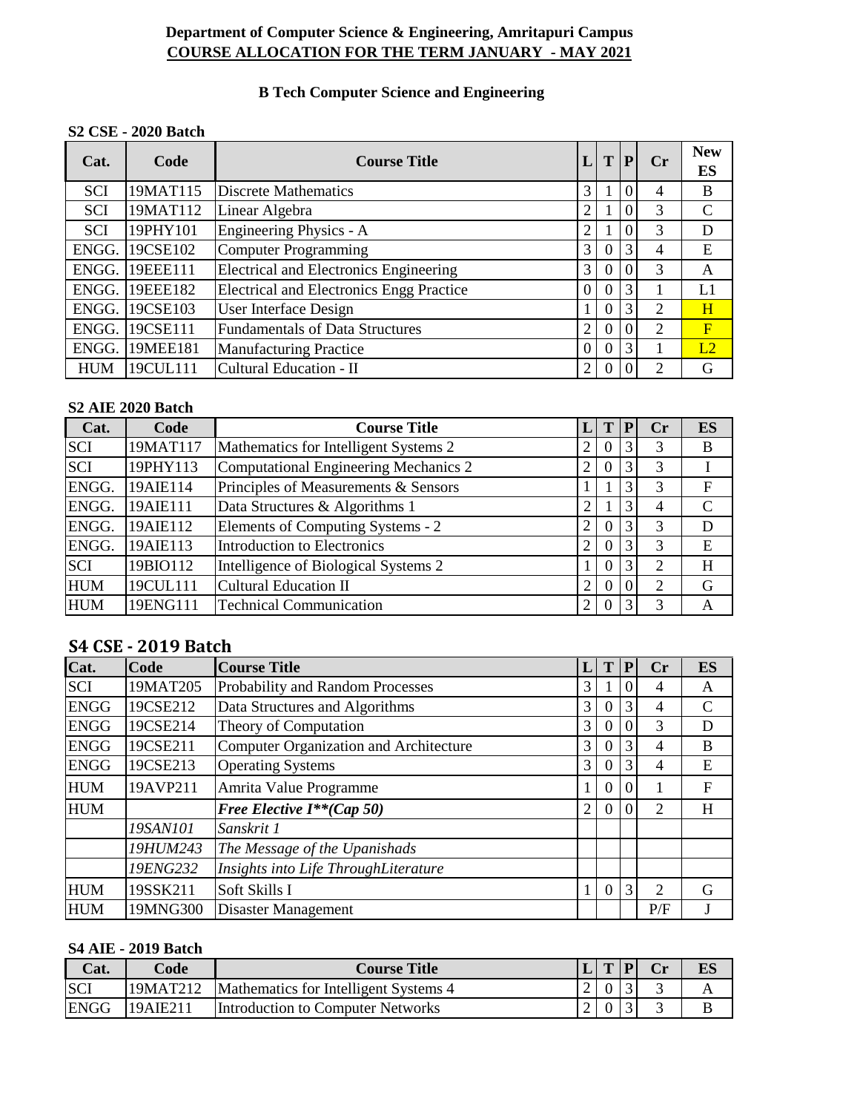## **Department of Computer Science & Engineering, Amritapuri Campus COURSE ALLOCATION FOR THE TERM JANUARY - MAY 2021**

# **B Tech Computer Science and Engineering**

### **S2 CSE - 2020 Batch**

| Cat.       | Code     | <b>Course Title</b>                             |                | T        | P              | $C_{r}$ | <b>New</b><br>ES |
|------------|----------|-------------------------------------------------|----------------|----------|----------------|---------|------------------|
| <b>SCI</b> | 19MAT115 | <b>Discrete Mathematics</b>                     | 3              |          | $\overline{0}$ | 4       | B                |
| <b>SCI</b> | 19MAT112 | Linear Algebra                                  | 2              |          | $\theta$       | 3       | $\mathcal{C}$    |
| <b>SCI</b> | 19PHY101 | Engineering Physics - A                         | $\overline{2}$ |          | $\Omega$       | 3       | D                |
| ENGG.      | 19CSE102 | Computer Programming                            | 3              | 0        | 3              | 4       | E                |
| ENGG.      | 19EEE111 | <b>Electrical and Electronics Engineering</b>   | 3              | 0        | $\Omega$       | 3       | A                |
| ENGG.      | 19EEE182 | <b>Electrical and Electronics Engg Practice</b> | $\overline{0}$ | 0        | 3              |         | L1               |
| ENGG.      | 19CSE103 | <b>User Interface Design</b>                    |                | 0        | 3              | 2       | H                |
| ENGG.      | 19CSE111 | <b>Fundamentals of Data Structures</b>          | $\overline{2}$ | $\Omega$ | $\Omega$       | 2       | $\mathbf F$      |
| ENGG.      | 19MEE181 | <b>Manufacturing Practice</b>                   | $\theta$       | 0        | 3              |         | L2               |
| <b>HUM</b> | 19CUL111 | Cultural Education - II                         | 2              | 0        |                | ↑       | G                |

#### **S2 AIE 2020 Batch**

| Cat.       | Code     | <b>Course Title</b>                   |                |    |   | $\bf Cr$       | <b>ES</b> |
|------------|----------|---------------------------------------|----------------|----|---|----------------|-----------|
| <b>SCI</b> | 19MAT117 | Mathematics for Intelligent Systems 2 |                | U) | 3 | 3              | B         |
| <b>SCI</b> | 19PHY113 | Computational Engineering Mechanics 2 | 2              | 0  | 3 | 3              |           |
| ENGG.      | 19AIE114 | Principles of Measurements & Sensors  |                |    |   | 3              | F         |
| ENGG.      | 19AIE111 | Data Structures & Algorithms 1        | $\overline{2}$ |    |   | $\overline{4}$ | C         |
| ENGG.      | 19AIE112 | Elements of Computing Systems - 2     | 2              | 0  | 3 | 3              | D         |
| ENGG.      | 19AIE113 | Introduction to Electronics           | 2              | 0  | 3 | 3              | E         |
| <b>SCI</b> | 19BIO112 | Intelligence of Biological Systems 2  |                | 0  |   | 2              | H         |
| <b>HUM</b> | 19CUL111 | Cultural Education II                 | $\overline{2}$ | 0  |   | 2              | G         |
| <b>HUM</b> | 19ENG111 | <b>Technical Communication</b>        | C              | 0  | 3 | 3              | А         |

# **S4 CSE - 2019 Batch**

| Cat.        | Code     | <b>Course Title</b>                    |                |          |                | Cr             | <b>ES</b>     |
|-------------|----------|----------------------------------------|----------------|----------|----------------|----------------|---------------|
| <b>SCI</b>  | 19MAT205 | Probability and Random Processes       | 3              |          | $\Omega$       | 4              | A             |
| <b>ENGG</b> | 19CSE212 | Data Structures and Algorithms         | 3              | 0        | 3              | 4              | $\mathcal{C}$ |
| <b>ENGG</b> | 19CSE214 | Theory of Computation                  | 3              | $\Omega$ | $\overline{0}$ | 3              | D             |
| <b>ENGG</b> | 19CSE211 | Computer Organization and Architecture | 3              | 0        | 3              | $\overline{4}$ | B             |
| <b>ENGG</b> | 19CSE213 | <b>Operating Systems</b>               | 3              | O        | 3              | $\overline{4}$ | E             |
| <b>HUM</b>  | 19AVP211 | Amrita Value Programme                 | 1              | 0        | $\overline{0}$ |                | F             |
| <b>HUM</b>  |          | <b>Free Elective I**(Cap 50)</b>       | $\overline{2}$ | $\Omega$ | $\Omega$       | 2              | H             |
|             | 19SAN101 | Sanskrit 1                             |                |          |                |                |               |
|             | 19HUM243 | The Message of the Upanishads          |                |          |                |                |               |
|             | 19ENG232 | Insights into Life ThroughLiterature   |                |          |                |                |               |
| <b>HUM</b>  | 19SSK211 | Soft Skills I                          |                | 0        | 3              | 2              | G             |
| <b>HUM</b>  | 19MNG300 | <b>Disaster Management</b>             |                |          |                | P/F            |               |

## **S4 AIE - 2019 Batch**

| Cat.        | Code     | <b>Course Title</b>                   | L T P |  | ES |
|-------------|----------|---------------------------------------|-------|--|----|
| <b>SCI</b>  | 19MAT212 | Mathematics for Intelligent Systems 4 |       |  |    |
| <b>ENGG</b> | 19AIE211 | Introduction to Computer Networks     |       |  |    |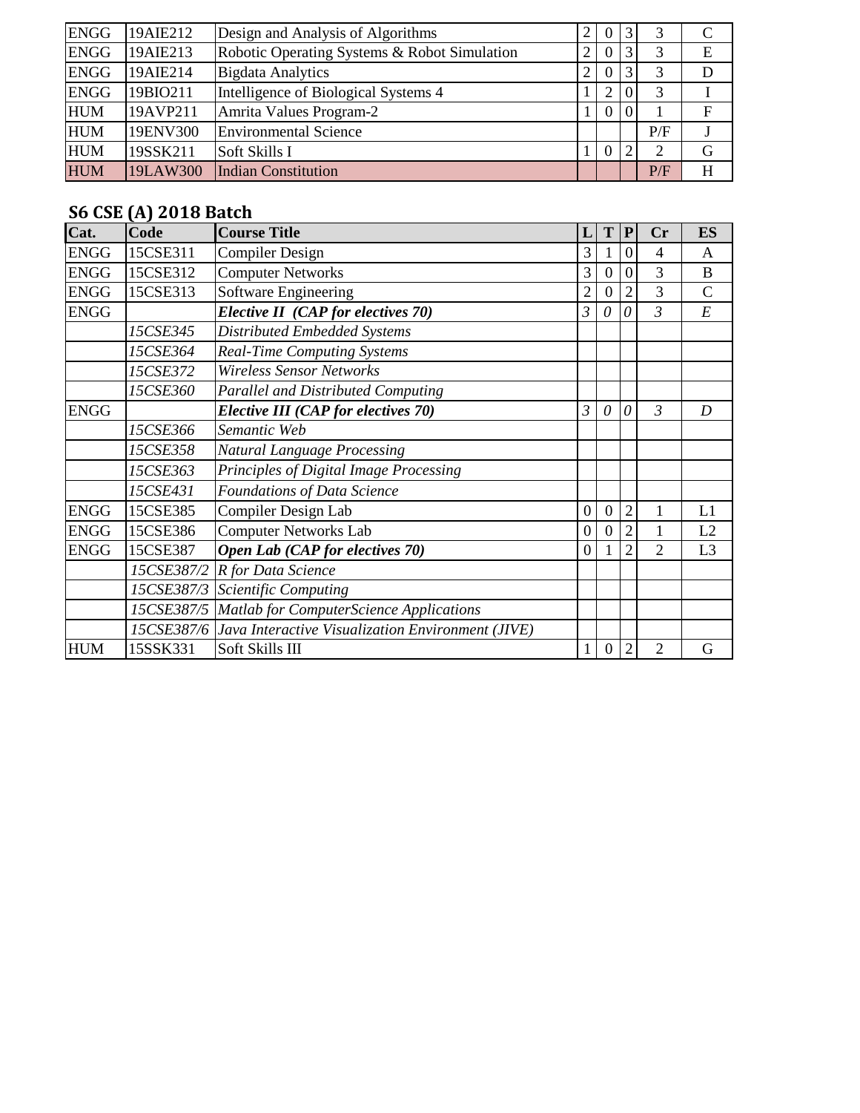| <b>ENGG</b> | 19AIE212 | Design and Analysis of Algorithms            | ာ              | 0                |   |     |             |
|-------------|----------|----------------------------------------------|----------------|------------------|---|-----|-------------|
| <b>ENGG</b> | 19AIE213 | Robotic Operating Systems & Robot Simulation | 2              | $\overline{0}$   |   |     | E           |
| <b>ENGG</b> | 19AIE214 | <b>Bigdata Analytics</b>                     | $\overline{2}$ | $\boldsymbol{0}$ | 3 |     | D           |
| <b>ENGG</b> | 19BIO211 | Intelligence of Biological Systems 4         |                | 2                |   |     |             |
| <b>HUM</b>  | 19AVP211 | Amrita Values Program-2                      |                | $\overline{0}$   |   |     | $\mathbf F$ |
| <b>HUM</b>  | 19ENV300 | <b>Environmental Science</b>                 |                |                  |   | P/F |             |
| <b>HUM</b>  | 19SSK211 | Soft Skills I                                |                | $\theta$         |   |     | G           |
| <b>HUM</b>  | 19LAW300 | <b>Indian Constitution</b>                   |                |                  |   | P/F | H           |

# **S6 CSE (A) 2018 Batch**

| Cat.        | Code       | <b>Course Title</b>                               | L                | T              | ${\bf P}$      | Cr             | <b>ES</b>      |
|-------------|------------|---------------------------------------------------|------------------|----------------|----------------|----------------|----------------|
| <b>ENGG</b> | 15CSE311   | <b>Compiler Design</b>                            | 3                |                | $\overline{0}$ | $\overline{4}$ | $\mathsf{A}$   |
| <b>ENGG</b> | 15CSE312   | <b>Computer Networks</b>                          | 3                | $\overline{0}$ | $\overline{0}$ | 3              | B              |
| <b>ENGG</b> | 15CSE313   | Software Engineering                              | $\overline{2}$   | 0              | $\overline{2}$ | 3              | $\mathsf{C}$   |
| <b>ENGG</b> |            | Elective II (CAP for electives 70)                | 3                | 0              | 0              | $\mathfrak{Z}$ | E              |
|             | 15CSE345   | <b>Distributed Embedded Systems</b>               |                  |                |                |                |                |
|             | 15CSE364   | <b>Real-Time Computing Systems</b>                |                  |                |                |                |                |
|             | 15CSE372   | <b>Wireless Sensor Networks</b>                   |                  |                |                |                |                |
|             | 15CSE360   | <b>Parallel and Distributed Computing</b>         |                  |                |                |                |                |
| <b>ENGG</b> |            | Elective III (CAP for electives 70)               | 3                | $\theta$       | $\theta$       | $\mathfrak{Z}$ | D              |
|             | 15CSE366   | Semantic Web                                      |                  |                |                |                |                |
|             | 15CSE358   | Natural Language Processing                       |                  |                |                |                |                |
|             | 15CSE363   | Principles of Digital Image Processing            |                  |                |                |                |                |
|             | 15CSE431   | Foundations of Data Science                       |                  |                |                |                |                |
| <b>ENGG</b> | 15CSE385   | Compiler Design Lab                               | $\mathbf{0}$     | 0              | $\overline{2}$ |                | L1             |
| <b>ENGG</b> | 15CSE386   | <b>Computer Networks Lab</b>                      | $\boldsymbol{0}$ | $\theta$       | $\overline{2}$ | 1              | L2             |
| <b>ENGG</b> | 15CSE387   | Open Lab (CAP for electives 70)                   | $\mathbf{0}$     |                | 2              | 2              | L <sub>3</sub> |
|             | 15CSE387/2 | R for Data Science                                |                  |                |                |                |                |
|             | 15CSE387/3 | <b>Scientific Computing</b>                       |                  |                |                |                |                |
|             | 15CSE387/5 | <b>Matlab for ComputerScience Applications</b>    |                  |                |                |                |                |
|             | 15CSE387/6 | Java Interactive Visualization Environment (JIVE) |                  |                |                |                |                |
| <b>HUM</b>  | 15SSK331   | Soft Skills III                                   | 1                | 0              | 2              | 2              | G              |